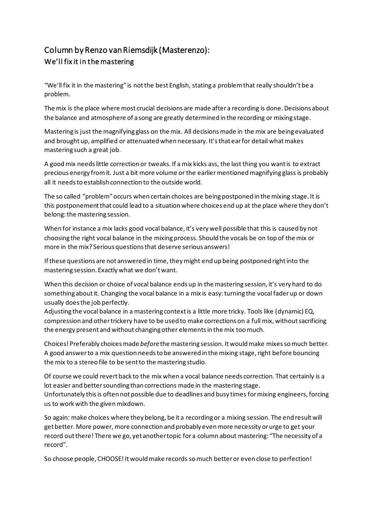## Column by Renzo van Riemsdijk (Masterenzo): We'll fix it in the mastering

"We'll fix it in the mastering" is notthe best English, stating a problemthat really shouldn'tbe a problem.

The mix is the place where most crucial decisions are made after a recording is done. Decisions about the balance and atmosphere of a song are greatly determined in the recording or mixing stage.

Mastering is just the magnifying glass on the mix. All decisionsmade in the mix are being evaluated and brought up, amplified or attenuatedwhen necessary. It'sthat earfor detail whatmakes mastering such a great job.

A goodmix needslittle correction or tweaks. If a mix kicks ass, the last thing you wantis to extract precious energy fromit. Just a bit more volume or the earliermentionedmagnifying glass is probably all it needsto establish connection to the outside world.

The so called "problem"occurs when certain choices are beingpostponed in the mixing stage. It is this postponementthat could lead to a situationwhere choices end up at the place where they don't belong: the mastering session.

When for instance a mix lacks good vocal balance, it's very well possible that this is caused by not choosing the right vocal balance in the mixingprocess. Should the vocals be on top of the mix or more in the mix? Serious questionsthat deserve serious answers!

If these questions are not answered in time, they might end up being postponed right into the mastering session. Exactly what we don'twant.

When this decision or choice of vocal balance ends up in the mastering session, it's very hard to do something about it. Changing the vocal balance in a mix is easy: turning the vocal fader up or down usually doesthe job perfectly.

Adjusting the vocal balance in a mastering contextis a little more tricky. Tools like (dynamic) EQ, compression and othertrickery have to be used to make corrections on a full mix, withoutsacrificing the energy present andwithout changingother elementsin the mix toomuch.

Choices! Preferably choices made *before* the mastering session. It would make mixes so much better. A good answerto a mix question needs to be answered in the mixing stage, right before bouncing the mix to a stereo file to be sent to the mastering studio.

Of course we could revertback to the mix when a vocal balance needs correction. That certainly is a lot easier and bettersounding than corrections made in the mastering stage. Unfortunately this is often not possible due to deadlines and busy times for mixing engineers, forcing us to work with the given mixdown.

So again: make choices where they belong, be it a recordingor a mixing session. The end resultwill get better. More power, more connection and probably even more necessity or urge to get your record out there! There we go, yet another topic for a column about mastering: "The necessity of a record".

So choose people, CHOOSE! It would make records so much better or even close to perfection!